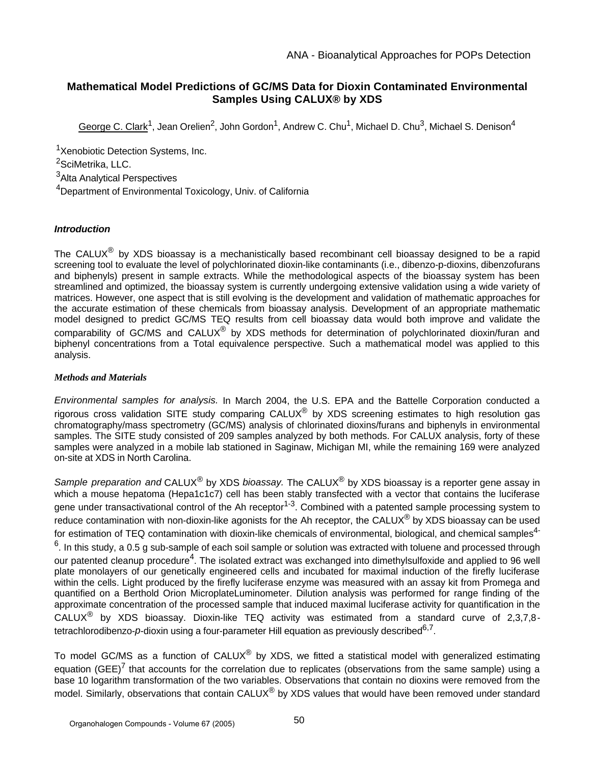# **Mathematical Model Predictions of GC/MS Data for Dioxin Contaminated Environmental Samples Using CALUX® by XDS**

George C. Clark<sup>1</sup>, Jean Orelien<sup>2</sup>, John Gordon<sup>1</sup>, Andrew C. Chu<sup>1</sup>, Michael D. Chu<sup>3</sup>, Michael S. Denison<sup>4</sup>

<sup>1</sup>Xenobiotic Detection Systems, Inc.

<sup>2</sup>SciMetrika, LLC.

<sup>3</sup>Alta Analytical Perspectives

<sup>4</sup>Department of Environmental Toxicology, Univ. of California

# **Introduction**

The CALUX<sup>®</sup> by XDS bioassay is a mechanistically based recombinant cell bioassay designed to be a rapid screening tool to evaluate the level of polychlorinated dioxin-like contaminants (i.e., dibenzo-p-dioxins, dibenzofurans and biphenyls) present in sample extracts. While the methodological aspects of the bioassay system has been streamlined and optimized, the bioassay system is currently undergoing extensive validation using a wide variety of matrices. However, one aspect that is still evolving is the development and validation of mathematic approaches for the accurate estimation of these chemicals from bioassay analysis. Development of an appropriate mathematic model designed to predict GC/MS TEQ results from cell bioassay data would both improve and validate the comparability of GC/MS and CALUX<sup>®</sup> by XDS methods for determination of polychlorinated dioxin/furan and biphenyl concentrations from a Total equivalence perspective. Such a mathematical model was applied to this analysis.

## *Methods and Materials*

Environmental samples for analysis. In March 2004, the U.S. EPA and the Battelle Corporation conducted a rigorous cross validation SITE study comparing CALUX® by XDS screening estimates to high resolution gas chromatography/mass spectrometry (GC/MS) analysis of chlorinated dioxins/furans and biphenyls in environmental samples. The SITE study consisted of 209 samples analyzed by both methods. For CALUX analysis, forty of these samples were analyzed in a mobile lab stationed in Saginaw, Michigan MI, while the remaining 169 were analyzed on-site at XDS in North Carolina.

Sample preparation and CALUX<sup>®</sup> by XDS bioassay. The CALUX<sup>®</sup> by XDS bioassay is a reporter gene assay in which a mouse hepatoma (Hepa1c1c7) cell has been stably transfected with a vector that contains the luciferase gene under transactivational control of the Ah receptor<sup>1-3</sup>. Combined with a patented sample processing system to reduce contamination with non-dioxin-like agonists for the Ah receptor, the CALUX<sup>®</sup> by XDS bioassay can be used for estimation of TEQ contamination with dioxin-like chemicals of environmental, biological, and chemical samples<sup>4-</sup>  $^6$ . In this study, a 0.5 g sub-sample of each soil sample or solution was extracted with toluene and processed through our patented cleanup procedure<sup>4</sup>. The isolated extract was exchanged into dimethylsulfoxide and applied to 96 well plate monolayers of our genetically engineered cells and incubated for maximal induction of the firefly luciferase within the cells. Light produced by the firefly luciferase enzyme was measured with an assay kit from Promega and quantified on a Berthold Orion MicroplateLuminometer. Dilution analysis was performed for range finding of the approximate concentration of the processed sample that induced maximal luciferase activity for quantification in the CALUX<sup>®</sup> by XDS bioassay. Dioxin-like TEQ activity was estimated from a standard curve of 2,3,7,8tetrachlorodibenzo- $p$ -dioxin using a four-parameter Hill equation as previously described $^{6,7}$ .

To model GC/MS as a function of CALUX<sup>®</sup> by XDS, we fitted a statistical model with generalized estimating equation (GEE)<sup>7</sup> that accounts for the correlation due to replicates (observations from the same sample) using a base 10 logarithm transformation of the two variables. Observations that contain no dioxins were removed from the model. Similarly, observations that contain CALUX® by XDS values that would have been removed under standard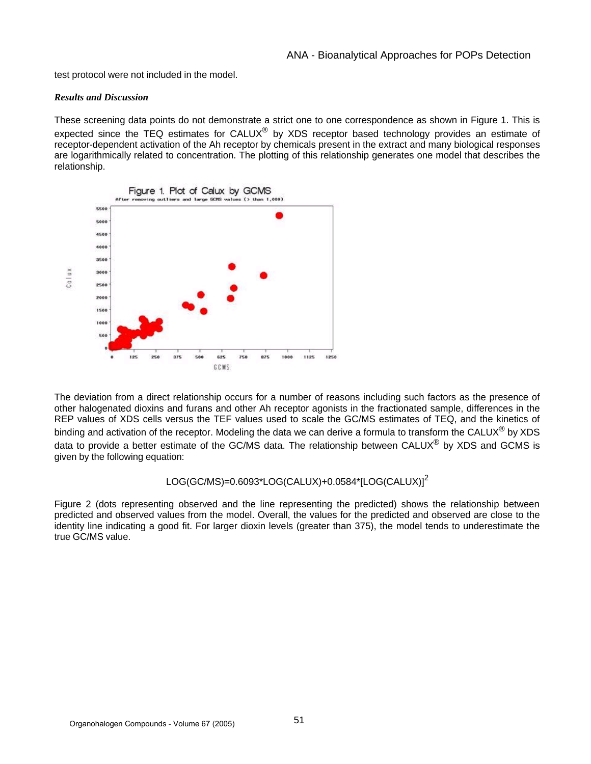test protocol were not included in the model.

### *Results and Discussion*

These screening data points do not demonstrate a strict one to one correspondence as shown in Figure 1. This is expected since the TEQ estimates for CALUX<sup>®</sup> by XDS receptor based technology provides an estimate of receptor-dependent activation of the Ah receptor by chemicals present in the extract and many biological responses are logarithmically related to concentration. The plotting of this relationship generates one model that describes the relationship.



The deviation from a direct relationship occurs for a number of reasons including such factors as the presence of other halogenated dioxins and furans and other Ah receptor agonists in the fractionated sample, differences in the REP values of XDS cells versus the TEF values used to scale the GC/MS estimates of TEQ, and the kinetics of binding and activation of the receptor. Modeling the data we can derive a formula to transform the CALUX<sup>®</sup> by XDS data to provide a better estimate of the GC/MS data. The relationship between CALUX<sup>®</sup> by XDS and GCMS is given by the following equation:

## LOG(GC/MS)=0.6093\*LOG(CALUX)+0.0584\*[LOG(CALUX)]<sup>2</sup>

Figure 2 (dots representing observed and the line representing the predicted) shows the relationship between predicted and observed values from the model. Overall, the values for the predicted and observed are close to the identity line indicating a good fit. For larger dioxin levels (greater than 375), the model tends to underestimate the true GC/MS value.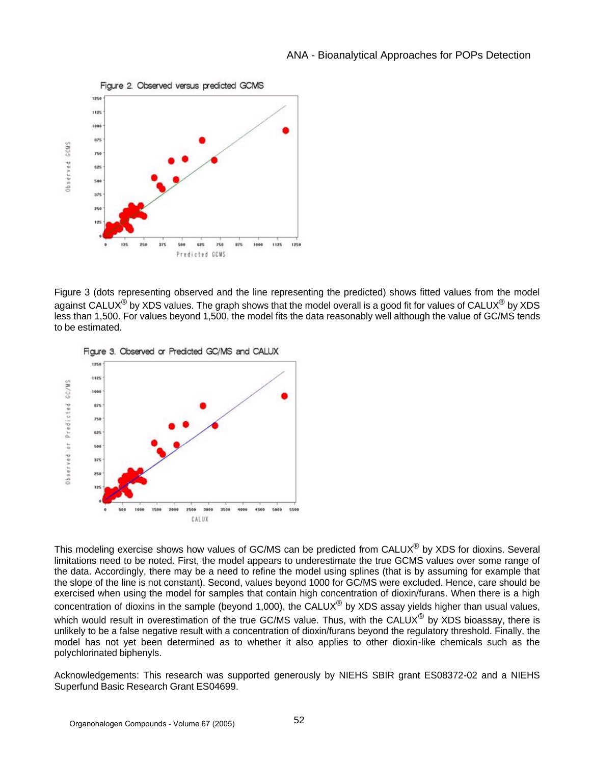

Figure 3 (dots representing observed and the line representing the predicted) shows fitted values from the model against CALUX<sup>®</sup> by XDS values. The graph shows that the model overall is a good fit for values of CALUX<sup>®</sup> by XDS less than 1,500. For values beyond 1,500, the model fits the data reasonably well although the value of GC/MS tends to be estimated.





This modeling exercise shows how values of GC/MS can be predicted from CALUX<sup>®</sup> by XDS for dioxins. Several limitations need to be noted. First, the model appears to underestimate the true GCMS values over some range of the data. Accordingly, there may be a need to refine the model using splines (that is by assuming for example that the slope of the line is not constant). Second, values beyond 1000 for GC/MS were excluded. Hence, care should be exercised when using the model for samples that contain high concentration of dioxin/furans. When there is a high concentration of dioxins in the sample (beyond 1,000), the CALUX<sup>®</sup> by XDS assay yields higher than usual values, which would result in overestimation of the true GC/MS value. Thus, with the CALUX<sup>®</sup> by XDS bioassay, there is unlikely to be a false negative result with a concentration of dioxin/furans beyond the regulatory threshold. Finally, the model has not yet been determined as to whether it also applies to other dioxin-like chemicals such as the polychlorinated biphenyls.

Acknowledgements: This research was supported generously by NIEHS SBIR grant ES08372-02 and a NIEHS Superfund Basic Research Grant ES04699.